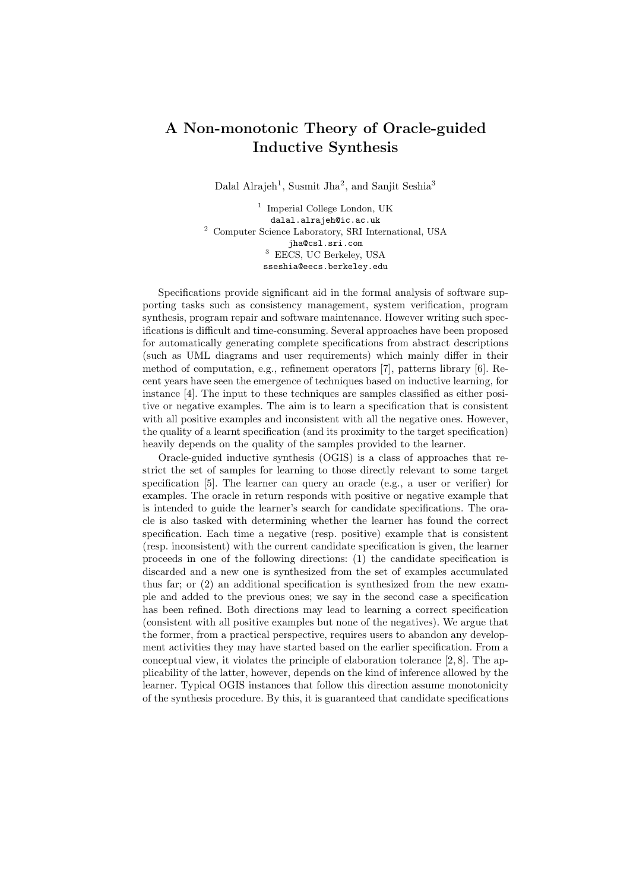## A Non-monotonic Theory of Oracle-guided Inductive Synthesis

Dalal Alrajeh<sup>1</sup>, Susmit Jha<sup>2</sup>, and Sanjit Seshia<sup>3</sup>

<sup>1</sup> Imperial College London, UK dalal.alrajeh@ic.ac.uk <sup>2</sup> Computer Science Laboratory, SRI International, USA jha@csl.sri.com <sup>3</sup> EECS, UC Berkeley, USA sseshia@eecs.berkeley.edu

Specifications provide significant aid in the formal analysis of software supporting tasks such as consistency management, system verification, program synthesis, program repair and software maintenance. However writing such specifications is difficult and time-consuming. Several approaches have been proposed for automatically generating complete specifications from abstract descriptions (such as UML diagrams and user requirements) which mainly differ in their method of computation, e.g., refinement operators [7], patterns library [6]. Recent years have seen the emergence of techniques based on inductive learning, for instance [4]. The input to these techniques are samples classified as either positive or negative examples. The aim is to learn a specification that is consistent with all positive examples and inconsistent with all the negative ones. However, the quality of a learnt specification (and its proximity to the target specification) heavily depends on the quality of the samples provided to the learner.

Oracle-guided inductive synthesis (OGIS) is a class of approaches that restrict the set of samples for learning to those directly relevant to some target specification [5]. The learner can query an oracle (e.g., a user or verifier) for examples. The oracle in return responds with positive or negative example that is intended to guide the learner's search for candidate specifications. The oracle is also tasked with determining whether the learner has found the correct specification. Each time a negative (resp. positive) example that is consistent (resp. inconsistent) with the current candidate specification is given, the learner proceeds in one of the following directions: (1) the candidate specification is discarded and a new one is synthesized from the set of examples accumulated thus far; or (2) an additional specification is synthesized from the new example and added to the previous ones; we say in the second case a specification has been refined. Both directions may lead to learning a correct specification (consistent with all positive examples but none of the negatives). We argue that the former, from a practical perspective, requires users to abandon any development activities they may have started based on the earlier specification. From a conceptual view, it violates the principle of elaboration tolerance [2, 8]. The applicability of the latter, however, depends on the kind of inference allowed by the learner. Typical OGIS instances that follow this direction assume monotonicity of the synthesis procedure. By this, it is guaranteed that candidate specifications